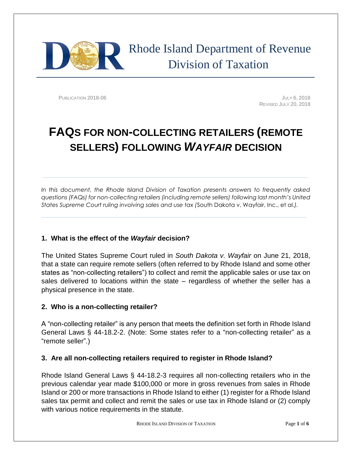

PUBLICATION 2018-06 **JULY 6, 2018** REVISED JULY 20, 2018

# **FAQS FOR NON-COLLECTING RETAILERS (REMOTE SELLERS) FOLLOWING** *WAYFAIR* **DECISION**

*In this document, the Rhode Island Division of Taxation presents answers to frequently asked questions (FAQs) for non-collecting retailers (including remote sellers) following last month's United States Supreme Court ruling involving sales and use tax (*South Dakota v. Wayfair, Inc., et al.*).*

## **1. What is the effect of the** *Wayfair* **decision?**

The United States Supreme Court ruled in *South Dakota v. Wayfair* on June 21, 2018, that a state can require remote sellers (often referred to by Rhode Island and some other states as "non-collecting retailers") to collect and remit the applicable sales or use tax on sales delivered to locations within the state – regardless of whether the seller has a physical presence in the state.

## **2. Who is a non-collecting retailer?**

A "non-collecting retailer" is any person that meets the definition set forth in Rhode Island General Laws § 44-18.2-2. (Note: Some states refer to a "non-collecting retailer" as a "remote seller".)

## **3. Are all non-collecting retailers required to register in Rhode Island?**

Rhode Island General Laws § 44-18.2-3 requires all non-collecting retailers who in the previous calendar year made \$100,000 or more in gross revenues from sales in Rhode Island or 200 or more transactions in Rhode Island to either (1) register for a Rhode Island sales tax permit and collect and remit the sales or use tax in Rhode Island or (2) comply with various notice requirements in the statute.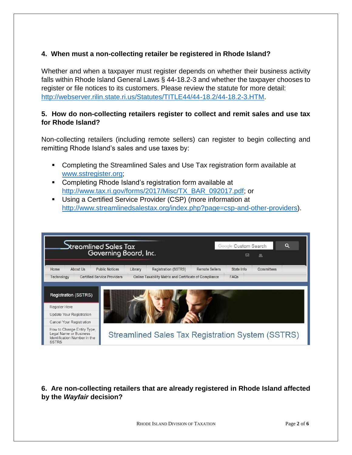## **4. When must a non-collecting retailer be registered in Rhode Island?**

Whether and when a taxpayer must register depends on whether their business activity falls within Rhode Island General Laws § 44-18.2-3 and whether the taxpayer chooses to register or file notices to its customers. Please review the statute for more detail: [http://webserver.rilin.state.ri.us/Statutes/TITLE44/44-18.2/44-18.2-3.HTM.](http://webserver.rilin.state.ri.us/Statutes/TITLE44/44-18.2/44-18.2-3.HTM)

#### **5. How do non-collecting retailers register to collect and remit sales and use tax for Rhode Island?**

Non-collecting retailers (including remote sellers) can register to begin collecting and remitting Rhode Island's sales and use taxes by:

- Completing the Streamlined Sales and Use Tax registration form available at [www.sstregister.org;](http://www.sstregister.org/)
- Completing Rhode Island's registration form available at [http://www.tax.ri.gov/forms/2017/Misc/TX\\_BAR\\_092017.pdf;](http://www.tax.ri.gov/forms/2017/Misc/TX_BAR_092017.pdf) or
- Using a Certified Service Provider (CSP) (more information at [http://www.streamlinedsalestax.org/index.php?page=csp-and-other-providers\)](http://www.streamlinedsalestax.org/index.php?page=csp-and-other-providers).

| treamlined Sales Tax<br>Governing Board, Inc.                                                                      |                                  |                                                   |                       | $\alpha$<br>Google Custom Search<br>図<br>暴 |            |  |
|--------------------------------------------------------------------------------------------------------------------|----------------------------------|---------------------------------------------------|-----------------------|--------------------------------------------|------------|--|
| About Us<br>Home                                                                                                   | <b>Public Notices</b><br>Library | <b>Registration (SSTRS)</b>                       | <b>Remote Sellers</b> | State Info                                 | Committees |  |
| <b>Certified Service Providers</b><br>Online Taxability Matrix and Certificate of Compliance<br>FAQS<br>Technology |                                  |                                                   |                       |                                            |            |  |
| <b>Registration (SSTRS)</b><br><b>Register Here</b><br><b>Update Your Registration</b><br>Cancel Your Registration |                                  |                                                   |                       |                                            |            |  |
| How to Change Entity Type,<br><b>Legal Name or Business</b><br>Identification Number in the<br><b>SSTRS</b>        |                                  | Streamlined Sales Tax Registration System (SSTRS) |                       |                                            |            |  |

**6. Are non-collecting retailers that are already registered in Rhode Island affected by the** *Wayfair* **decision?**

RHODE ISLAND DIVISION OF TAXATION Page **2** of **6**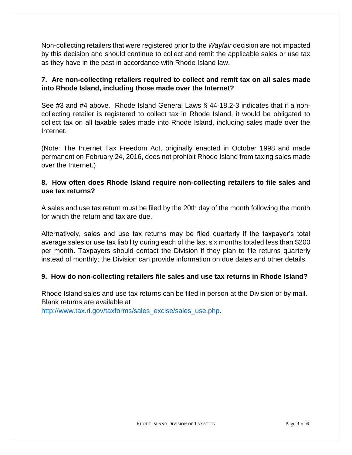Non-collecting retailers that were registered prior to the *Wayfair* decision are not impacted by this decision and should continue to collect and remit the applicable sales or use tax as they have in the past in accordance with Rhode Island law.

## **7. Are non-collecting retailers required to collect and remit tax on all sales made into Rhode Island, including those made over the Internet?**

See #3 and #4 above. Rhode Island General Laws § 44-18.2-3 indicates that if a noncollecting retailer is registered to collect tax in Rhode Island, it would be obligated to collect tax on all taxable sales made into Rhode Island, including sales made over the Internet.

(Note: The Internet Tax Freedom Act, originally enacted in October 1998 and made permanent on February 24, 2016, does not prohibit Rhode Island from taxing sales made over the Internet.)

## **8. How often does Rhode Island require non-collecting retailers to file sales and use tax returns?**

A sales and use tax return must be filed by the 20th day of the month following the month for which the return and tax are due.

Alternatively, sales and use tax returns may be filed quarterly if the taxpayer's total average sales or use tax liability during each of the last six months totaled less than \$200 per month. Taxpayers should contact the Division if they plan to file returns quarterly instead of monthly; the Division can provide information on due dates and other details.

## **9. How do non-collecting retailers file sales and use tax returns in Rhode Island?**

Rhode Island sales and use tax returns can be filed in person at the Division or by mail. Blank returns are available at

[http://www.tax.ri.gov/taxforms/sales\\_excise/sales\\_use.php.](http://www.tax.ri.gov/taxforms/sales_excise/sales_use.php)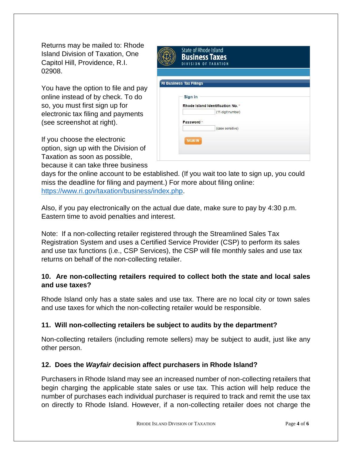Returns may be mailed to: Rhode Island Division of Taxation, One Capitol Hill, Providence, R.I. 02908.

You have the option to file and pay online instead of by check. To do so, you must first sign up for electronic tax filing and payments (see screenshot at right).

If you choose the electronic option, sign up with the Division of Taxation as soon as possible, because it can take three business

| <b>State of Rhode Island</b><br><b>Business Taxes</b><br>DIVISION OF TAXATION |  |  |
|-------------------------------------------------------------------------------|--|--|
| <b>RI Business Tax Filings</b>                                                |  |  |
| Sign in                                                                       |  |  |
| Rhode Island Identification No. *                                             |  |  |
| (11-digit number)                                                             |  |  |
| Password *                                                                    |  |  |
| (case sensitive)                                                              |  |  |
|                                                                               |  |  |
| <b>SIGN IN</b>                                                                |  |  |
|                                                                               |  |  |
|                                                                               |  |  |

days for the online account to be established. (If you wait too late to sign up, you could miss the deadline for filing and payment.) For more about filing online: [https://www.ri.gov/taxation/business/index.php.](https://www.ri.gov/taxation/business/index.php)

Also, if you pay electronically on the actual due date, make sure to pay by 4:30 p.m. Eastern time to avoid penalties and interest.

Note: If a non-collecting retailer registered through the Streamlined Sales Tax Registration System and uses a Certified Service Provider (CSP) to perform its sales and use tax functions (i.e., CSP Services), the CSP will file monthly sales and use tax returns on behalf of the non-collecting retailer.

## **10. Are non-collecting retailers required to collect both the state and local sales and use taxes?**

Rhode Island only has a state sales and use tax. There are no local city or town sales and use taxes for which the non-collecting retailer would be responsible.

## **11. Will non-collecting retailers be subject to audits by the department?**

Non-collecting retailers (including remote sellers) may be subject to audit, just like any other person.

## **12. Does the** *Wayfair* **decision affect purchasers in Rhode Island?**

Purchasers in Rhode Island may see an increased number of non-collecting retailers that begin charging the applicable state sales or use tax. This action will help reduce the number of purchases each individual purchaser is required to track and remit the use tax on directly to Rhode Island. However, if a non-collecting retailer does not charge the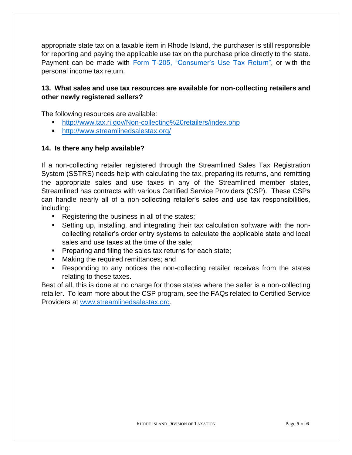appropriate state tax on a taxable item in Rhode Island, the purchaser is still responsible for reporting and paying the applicable use tax on the purchase price directly to the state. Payment can be made with [Form T-205, "Consumer's Use Tax Return",](http://www.tax.ri.gov/forms/2017/Excise/T-205_m.pdf) or with the personal income tax return.

### **13. What sales and use tax resources are available for non-collecting retailers and other newly registered sellers?**

The following resources are available:

- <http://www.tax.ri.gov/Non-collecting%20retailers/index.php>
- <http://www.streamlinedsalestax.org/>

#### **14. Is there any help available?**

If a non-collecting retailer registered through the Streamlined Sales Tax Registration System (SSTRS) needs help with calculating the tax, preparing its returns, and remitting the appropriate sales and use taxes in any of the Streamlined member states, Streamlined has contracts with various Certified Service Providers (CSP). These CSPs can handle nearly all of a non-collecting retailer's sales and use tax responsibilities, including:

- Registering the business in all of the states;
- Setting up, installing, and integrating their tax calculation software with the noncollecting retailer's order entry systems to calculate the applicable state and local sales and use taxes at the time of the sale;
- Preparing and filing the sales tax returns for each state;
- Making the required remittances; and
- Responding to any notices the non-collecting retailer receives from the states relating to these taxes.

Best of all, this is done at no charge for those states where the seller is a non-collecting retailer. To learn more about the CSP program, see the FAQs related to Certified Service Providers at [www.streamlinedsalestax.org.](http://www.streamlinedsalestax.org/)